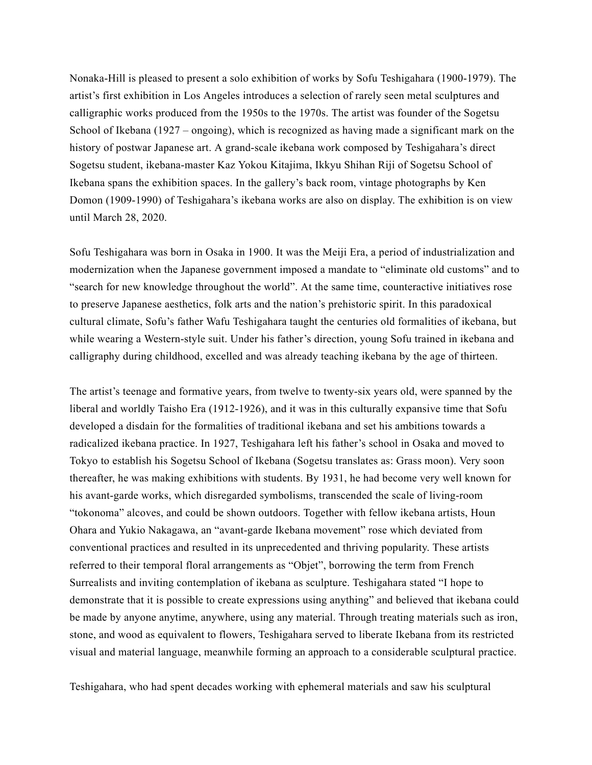Nonaka-Hill is pleased to present a solo exhibition of works by Sofu Teshigahara (1900-1979). The artist's first exhibition in Los Angeles introduces a selection of rarely seen metal sculptures and calligraphic works produced from the 1950s to the 1970s. The artist was founder of the Sogetsu School of Ikebana (1927 – ongoing), which is recognized as having made a significant mark on the history of postwar Japanese art. A grand-scale ikebana work composed by Teshigahara's direct Sogetsu student, ikebana-master Kaz Yokou Kitajima, Ikkyu Shihan Riji of Sogetsu School of Ikebana spans the exhibition spaces. In the gallery's back room, vintage photographs by Ken Domon (1909-1990) of Teshigahara's ikebana works are also on display. The exhibition is on view until March 28, 2020.

Sofu Teshigahara was born in Osaka in 1900. It was the Meiji Era, a period of industrialization and modernization when the Japanese government imposed a mandate to "eliminate old customs" and to "search for new knowledge throughout the world". At the same time, counteractive initiatives rose to preserve Japanese aesthetics, folk arts and the nation's prehistoric spirit. In this paradoxical cultural climate, Sofu's father Wafu Teshigahara taught the centuries old formalities of ikebana, but while wearing a Western-style suit. Under his father's direction, young Sofu trained in ikebana and calligraphy during childhood, excelled and was already teaching ikebana by the age of thirteen.

The artist's teenage and formative years, from twelve to twenty-six years old, were spanned by the liberal and worldly Taisho Era (1912-1926), and it was in this culturally expansive time that Sofu developed a disdain for the formalities of traditional ikebana and set his ambitions towards a radicalized ikebana practice. In 1927, Teshigahara left his father's school in Osaka and moved to Tokyo to establish his Sogetsu School of Ikebana (Sogetsu translates as: Grass moon). Very soon thereafter, he was making exhibitions with students. By 1931, he had become very well known for his avant-garde works, which disregarded symbolisms, transcended the scale of living-room "tokonoma" alcoves, and could be shown outdoors. Together with fellow ikebana artists, Houn Ohara and Yukio Nakagawa, an "avant-garde Ikebana movement" rose which deviated from conventional practices and resulted in its unprecedented and thriving popularity. These artists referred to their temporal floral arrangements as "Objet", borrowing the term from French Surrealists and inviting contemplation of ikebana as sculpture. Teshigahara stated "I hope to demonstrate that it is possible to create expressions using anything" and believed that ikebana could be made by anyone anytime, anywhere, using any material. Through treating materials such as iron, stone, and wood as equivalent to flowers, Teshigahara served to liberate Ikebana from its restricted visual and material language, meanwhile forming an approach to a considerable sculptural practice.

Teshigahara, who had spent decades working with ephemeral materials and saw his sculptural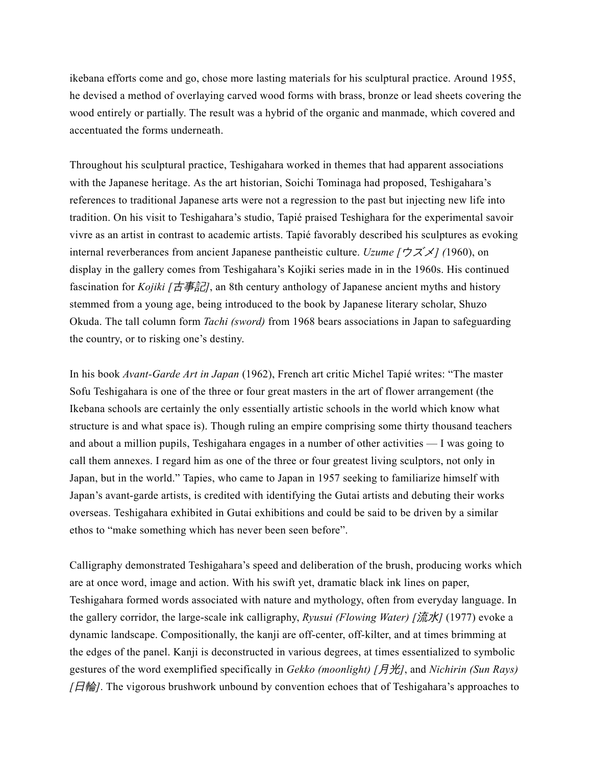ikebana efforts come and go, chose more lasting materials for his sculptural practice. Around 1955, he devised a method of overlaying carved wood forms with brass, bronze or lead sheets covering the wood entirely or partially. The result was a hybrid of the organic and manmade, which covered and accentuated the forms underneath.

Throughout his sculptural practice, Teshigahara worked in themes that had apparent associations with the Japanese heritage. As the art historian, Soichi Tominaga had proposed, Teshigahara's references to traditional Japanese arts were not a regression to the past but injecting new life into tradition. On his visit to Teshigahara's studio, Tapié praised Teshighara for the experimental savoir vivre as an artist in contrast to academic artists. Tapié favorably described his sculptures as evoking internal reverberances from ancient Japanese pantheistic culture. *Uzume [*ウズメ*] (*1960), on display in the gallery comes from Teshigahara's Kojiki series made in in the 1960s. His continued fascination for *Kojiki* [古事記], an 8th century anthology of Japanese ancient myths and history stemmed from a young age, being introduced to the book by Japanese literary scholar, Shuzo Okuda. The tall column form *Tachi (sword)* from 1968 bears associations in Japan to safeguarding the country, or to risking one's destiny.

In his book *Avant-Garde Art in Japan* (1962), French art critic Michel Tapié writes: "The master Sofu Teshigahara is one of the three or four great masters in the art of flower arrangement (the Ikebana schools are certainly the only essentially artistic schools in the world which know what structure is and what space is). Though ruling an empire comprising some thirty thousand teachers and about a million pupils, Teshigahara engages in a number of other activities — I was going to call them annexes. I regard him as one of the three or four greatest living sculptors, not only in Japan, but in the world." Tapies, who came to Japan in 1957 seeking to familiarize himself with Japan's avant-garde artists, is credited with identifying the Gutai artists and debuting their works overseas. Teshigahara exhibited in Gutai exhibitions and could be said to be driven by a similar ethos to "make something which has never been seen before".

Calligraphy demonstrated Teshigahara's speed and deliberation of the brush, producing works which are at once word, image and action. With his swift yet, dramatic black ink lines on paper, Teshigahara formed words associated with nature and mythology, often from everyday language. In the gallery corridor, the large-scale ink calligraphy, *Ryusui (Flowing Water) [*流水*]* (1977) evoke a dynamic landscape. Compositionally, the kanji are off-center, off-kilter, and at times brimming at the edges of the panel. Kanji is deconstructed in various degrees, at times essentialized to symbolic gestures of the word exemplified specifically in *Gekko (moonlight) [*月光*]*, and *Nichirin (Sun Rays) [*日輪*]*. The vigorous brushwork unbound by convention echoes that of Teshigahara's approaches to